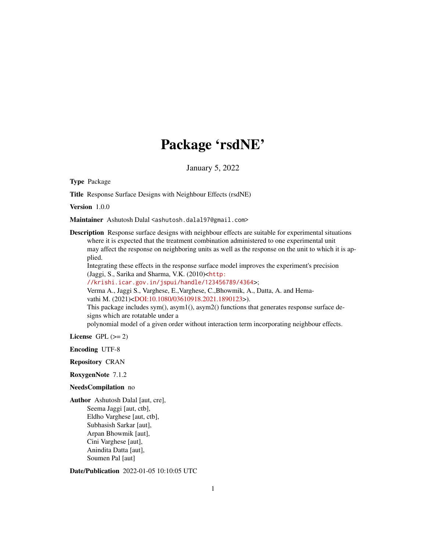## Package 'rsdNE'

January 5, 2022

Type Package

Title Response Surface Designs with Neighbour Effects (rsdNE)

Version 1.0.0

Maintainer Ashutosh Dalal <ashutosh.dalal97@gmail.com>

Description Response surface designs with neighbour effects are suitable for experimental situations where it is expected that the treatment combination administered to one experimental unit may affect the response on neighboring units as well as the response on the unit to which it is applied.

Integrating these effects in the response surface model improves the experiment's precision (Jaggi, S., Sarika and Sharma, V.K. (2010)<[http:](http://krishi.icar.gov.in/jspui/handle/123456789/4364)

[//krishi.icar.gov.in/jspui/handle/123456789/4364](http://krishi.icar.gov.in/jspui/handle/123456789/4364)>;

Verma A., Jaggi S., Varghese, E.,Varghese, C.,Bhowmik, A., Datta, A. and Hema-vathi M. (2021)[<DOI:10.1080/03610918.2021.1890123>](https://doi.org/10.1080/03610918.2021.1890123)).

This package includes  $sym($ ,  $asym1()$ ,  $asym2()$  functions that generates response surface designs which are rotatable under a

polynomial model of a given order without interaction term incorporating neighbour effects.

License GPL  $(>= 2)$ 

Encoding UTF-8

Repository CRAN

RoxygenNote 7.1.2

#### NeedsCompilation no

Author Ashutosh Dalal [aut, cre], Seema Jaggi [aut, ctb], Eldho Varghese [aut, ctb], Subhasish Sarkar [aut], Arpan Bhowmik [aut], Cini Varghese [aut], Anindita Datta [aut], Soumen Pal [aut]

Date/Publication 2022-01-05 10:10:05 UTC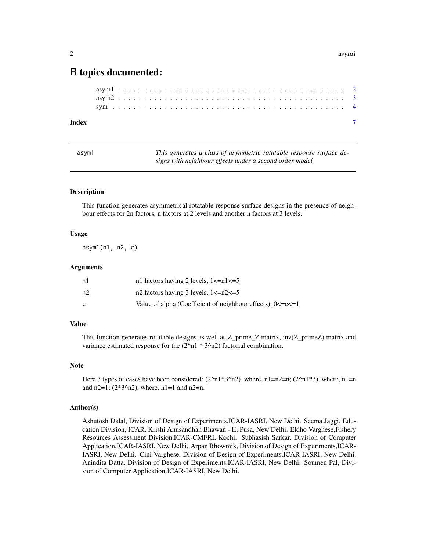### <span id="page-1-0"></span>R topics documented:

| Index |  |  |  |  |  |  |  |  |  |  |  |  |  |  |  |  |  |  |  |  |  |  |  |
|-------|--|--|--|--|--|--|--|--|--|--|--|--|--|--|--|--|--|--|--|--|--|--|--|
|       |  |  |  |  |  |  |  |  |  |  |  |  |  |  |  |  |  |  |  |  |  |  |  |
|       |  |  |  |  |  |  |  |  |  |  |  |  |  |  |  |  |  |  |  |  |  |  |  |
|       |  |  |  |  |  |  |  |  |  |  |  |  |  |  |  |  |  |  |  |  |  |  |  |

| asvm1 | This generates a class of asymmetric rotatable response surface de- |
|-------|---------------------------------------------------------------------|
|       | signs with neighbour effects under a second order model             |

#### Description

This function generates asymmetrical rotatable response surface designs in the presence of neighbour effects for 2n factors, n factors at 2 levels and another n factors at 3 levels.

#### Usage

asym1(n1, n2, c)

#### Arguments

| n1 | n1 factors having 2 levels, $1 < =n1 < -5$                       |
|----|------------------------------------------------------------------|
| n2 | n2 factors having 3 levels, $1 < =n2 < = 5$                      |
|    | Value of alpha (Coefficient of neighbour effects), $0 < = c < 1$ |

#### Value

This function generates rotatable designs as well as Z\_prime\_Z matrix, inv(Z\_primeZ) matrix and variance estimated response for the  $(2<sup>2</sup>n1 * 3<sup>2</sup>n2)$  factorial combination.

#### Note

Here 3 types of cases have been considered:  $(2^{\text{ }}n1*3^{\text{ }}n2)$ , where, n1=n2=n;  $(2^{\text{ }}n1*3)$ , where, n1=n and  $n2=1$ ; (2\*3^n2), where,  $n1=1$  and  $n2=n$ .

#### Author(s)

Ashutosh Dalal, Division of Design of Experiments,ICAR-IASRI, New Delhi. Seema Jaggi, Education Division, ICAR, Krishi Anusandhan Bhawan - II, Pusa, New Delhi. Eldho Varghese,Fishery Resources Assessment Division,ICAR-CMFRI, Kochi. Subhasish Sarkar, Division of Computer Application,ICAR-IASRI, New Delhi. Arpan Bhowmik, Division of Design of Experiments,ICAR-IASRI, New Delhi. Cini Varghese, Division of Design of Experiments,ICAR-IASRI, New Delhi. Anindita Datta, Division of Design of Experiments,ICAR-IASRI, New Delhi. Soumen Pal, Division of Computer Application,ICAR-IASRI, New Delhi.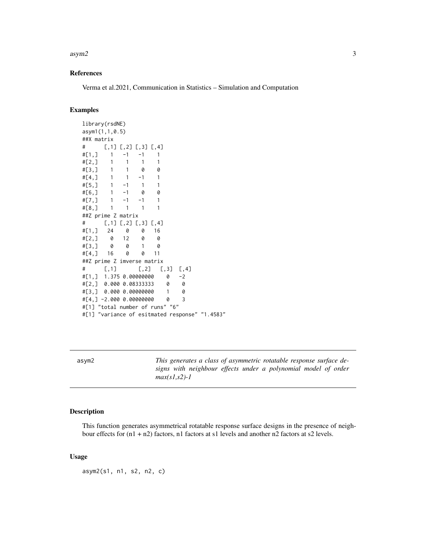#### <span id="page-2-0"></span> $\alpha$ asym2 3

#### References

Verma et al.2021, Communication in Statistics – Simulation and Computation

#### Examples

```
library(rsdNE)
asym1(1,1,0.5)
##X matrix
\sharp [, 1] [, 2] [, 3] [, 4]
#[1,] 1 -1 -1 1
#[2,] 1 1 1 1
#[3,] 1 1 0 0
#[4,] 1 1 -1 1
#[5,] 1 -1 1 1
#[6,] 1 -1 0 0
#[7,] 1 -1 -1 1
#[8,] 1 1 1 1
##Z prime Z matrix
# [,1] [,2] [,3] [,4]
#[1,] 24 0 0 16
#[2,] 0 12 0 0
#[3,] 0 0 1 0
#[4,] 16 0 0 11
##Z prime Z imverse matrix
# [,1] [,2] [,3] [,4]
#[1,] 1.375 0.00000000 0 -2
#[2,] 0.000 0.08333333 0 0
#[3,] 0.000 0.00000000 1 0
#[4,] -2.000 0.00000000 0 3
#[1] "total number of runs" "6"
#[1] "variance of esitmated response" "1.4583"
```
asym2 *This generates a class of asymmetric rotatable response surface designs with neighbour effects under a polynomial model of order max(s1,s2)-1*

#### Description

This function generates asymmetrical rotatable response surface designs in the presence of neighbour effects for (n1 + n2) factors, n1 factors at s1 levels and another n2 factors at s2 levels.

#### Usage

asym2(s1, n1, s2, n2, c)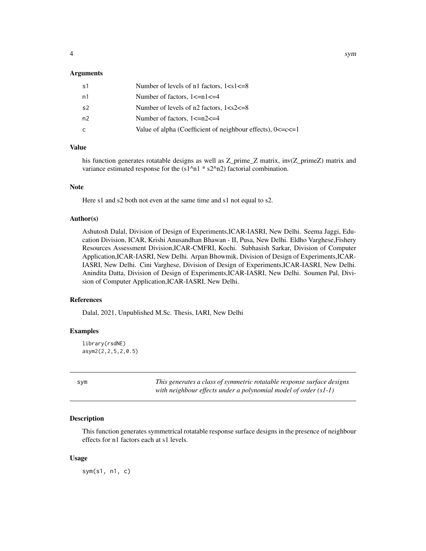#### <span id="page-3-0"></span>Arguments

| s1 | Number of levels of n1 factors, $1 < s < 1 < s$                |
|----|----------------------------------------------------------------|
| n1 | Number of factors, $1\le n1\le 4$                              |
| s2 | Number of levels of $n2$ factors, $1 < s2 < = 8$               |
| n2 | Number of factors, $1 < =n2 < 4$                               |
| C  | Value of alpha (Coefficient of neighbour effects), $0 < c < 1$ |

#### Value

his function generates rotatable designs as well as Z\_prime\_Z matrix, inv(Z\_primeZ) matrix and variance estimated response for the  $(s1^n n1 * s2^n n2)$  factorial combination.

#### Note

Here s1 and s2 both not even at the same time and s1 not equal to s2.

#### Author(s)

Ashutosh Dalal, Division of Design of Experiments,ICAR-IASRI, New Delhi. Seema Jaggi, Education Division, ICAR, Krishi Anusandhan Bhawan - II, Pusa, New Delhi. Eldho Varghese,Fishery Resources Assessment Division,ICAR-CMFRI, Kochi. Subhasish Sarkar, Division of Computer Application,ICAR-IASRI, New Delhi. Arpan Bhowmik, Division of Design of Experiments,ICAR-IASRI, New Delhi. Cini Varghese, Division of Design of Experiments,ICAR-IASRI, New Delhi. Anindita Datta, Division of Design of Experiments,ICAR-IASRI, New Delhi. Soumen Pal, Division of Computer Application,ICAR-IASRI, New Delhi.

#### References

Dalal, 2021, Unpublished M.Sc. Thesis, IARI, New Delhi

#### Examples

```
library(rsdNE)
asym2(2,2,5,2,0.5)
```
sym *This generates a class of symmetric rotatable response surface designs with neighbour effects under a polynomial model of order (s1-1)*

#### **Description**

This function generates symmetrical rotatable response surface designs in the presence of neighbour effects for n1 factors each at s1 levels.

#### Usage

sym(s1, n1, c)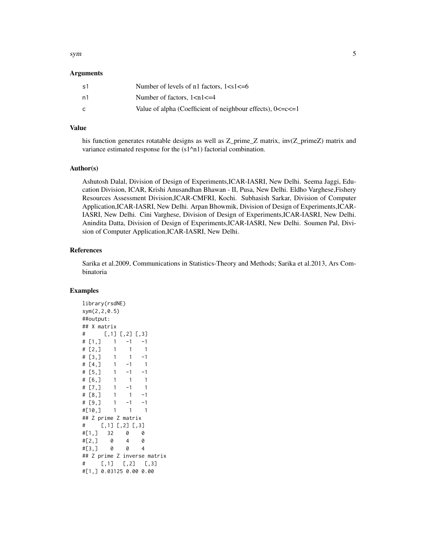#### sym 5

#### **Arguments**

| s1 | Number of levels of n1 factors, $1 < s < 1 < 6$                  |
|----|------------------------------------------------------------------|
| n1 | Number of factors, $1 < n1 < = 4$                                |
| C  | Value of alpha (Coefficient of neighbour effects), $0 < = c < 1$ |

#### Value

his function generates rotatable designs as well as Z\_prime\_Z matrix, inv(Z\_primeZ) matrix and variance estimated response for the  $(s1<sup>2</sup>n1)$  factorial combination.

#### Author(s)

Ashutosh Dalal, Division of Design of Experiments,ICAR-IASRI, New Delhi. Seema Jaggi, Education Division, ICAR, Krishi Anusandhan Bhawan - II, Pusa, New Delhi. Eldho Varghese,Fishery Resources Assessment Division,ICAR-CMFRI, Kochi. Subhasish Sarkar, Division of Computer Application,ICAR-IASRI, New Delhi. Arpan Bhowmik, Division of Design of Experiments,ICAR-IASRI, New Delhi. Cini Varghese, Division of Design of Experiments,ICAR-IASRI, New Delhi. Anindita Datta, Division of Design of Experiments,ICAR-IASRI, New Delhi. Soumen Pal, Division of Computer Application,ICAR-IASRI, New Delhi.

#### References

Sarika et al.2009, Communications in Statistics-Theory and Methods; Sarika et al.2013, Ars Combinatoria

#### Examples

library(rsdNE) sym(2,2,0.5) ##output: ## X matrix  $\#$  [, 1] [, 2] [, 3]  $\#$  [1,] 1 -1 -1  $\#$  [2, ] 1 1 1  $\#$  [3,] 1 1 -1  $\#$  [4,] 1 -1 1  $\#$  [5,] 1 -1 -1 # [6,] 1 1 1  $\#$  [7,] 1 -1 1  $\#$  [8,] 1 1 -1  $\# [9, ]$  1 -1 -1 #[10,] 1 1 1 ## Z prime Z matrix  $\sharp$  [, 1] [, 2] [, 3] #[1,] 32 0 0 #[2,] 0 4 0 #[3,] 0 0 4 ## Z prime Z inverse matrix # [,1] [,2] [,3] #[1,] 0.03125 0.00 0.00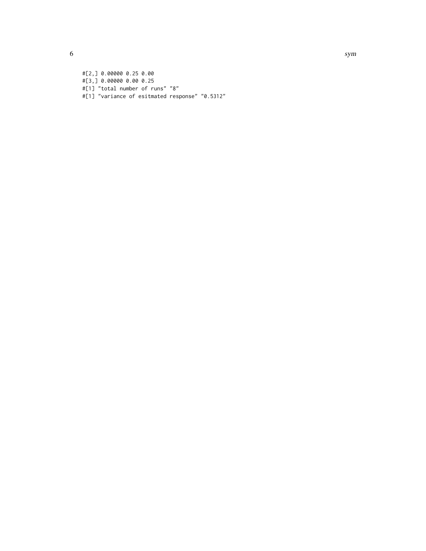#[2,] 0.00000 0.25 0.00 #[3,] 0.00000 0.00 0.25 #[1] "total number of runs" "8" #[1] "variance of esitmated response" "0.5312"